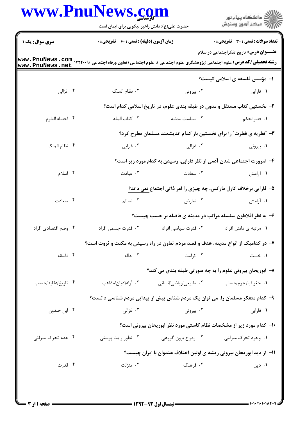|                        | حضرت علی(ع): دانش راهبر نیکویی برای ایمان است      |                                                                                    | ر<br>دانشڪاه پيام نور)<br>ا∛ مرڪز آزمون وسنڊش  |  |
|------------------------|----------------------------------------------------|------------------------------------------------------------------------------------|------------------------------------------------|--|
| <b>سری سوال :</b> یک ۱ | <b>زمان آزمون (دقیقه) : تستی : 60 ٪ تشریحی : 0</b> |                                                                                    | <b>تعداد سوالات : تستي : 30 ٪ تشريحي : 0</b>   |  |
| www.PnuNews.net        |                                                    |                                                                                    | <b>عنـــوان درس:</b> تاریخ تفکراجتماعی دراسلام |  |
|                        |                                                    |                                                                                    | ۱– مؤسس فلسفه ی اسلامی کیست؟                   |  |
| ۰۴ غزالی               | ۰۳ نظام الملک                                      | ۰۲ بیرونی                                                                          | ۰۱ فارابی                                      |  |
|                        |                                                    | ۲- نخستین کتاب مستقل و مدون در طبقه بندی علوم، در تاریخ اسلامی کدام است؟           |                                                |  |
| ۰۴ احصاء العلوم        | ۰۳ کتاب المله                                      | ٠٢ سياست مدنيه                                                                     | ٠١. فصوالحكم                                   |  |
|                        |                                                    | ۳- "نظریه ی فطرت" را برای نخستین بار کدام اندیشمند مسلمان مطرح کرد؟                |                                                |  |
| ۰۴ نظام الملک          | ۰۳ فارابی                                          | ۰۲ غزالی                                                                           | ۰۱ بیرونی                                      |  |
|                        |                                                    | ۴– ضرورت اجتماعی شدن آدمی از نظر فارابی، رسیدن به کدام مورد زیر است؟               |                                                |  |
| ۰۴ اسلام               | ۰۳ عبادت                                           | ۰۲ سعادت                                                                           | ۱. آرامش                                       |  |
|                        |                                                    | ۵- فارابی برخلاف کارل مارکس، چه چیزی را امر ذاتی اجتماع نمی داند؟                  |                                                |  |
| ۰۴ سعادت               | ۰۳ تسالم                                           | ۰۲ تعارض                                                                           | ۰۱ آرامش                                       |  |
|                        |                                                    | ۶- به نظر افلاطون سلسله مراتب در مدینه ی فاضله بر حسب چیست؟                        |                                                |  |
| ۰۴ وضع اقتصادي افراد   |                                                    |                                                                                    |                                                |  |
|                        |                                                    | ۷- در کدامیک از انواع مدینه، هدف و قصد مردم تعاون در راه رسیدن به مکنت و ثروت است؟ |                                                |  |
| ۰۴ فاسقه               | ۰۳ بداله                                           | ۰۲ کرامت                                                                           | ۰۱ خست                                         |  |
|                        |                                                    | ۸– ابوریحان بیرونی علوم را به چه صورتی طبقه بندی می کند؟                           |                                                |  |
| ۰۴ تاريخ/عقايد/حساب    | ۰۳ آراء/اديان/مذاهب                                | ۰۲ طبیعی/ریاضی/انسانی                                                              | ۰۱ جغرافیا/نجوم/حساب                           |  |
|                        |                                                    | ۹– کدام متفکر مسلمان را، می توان یک مردم شناس پیش از پیدایی مردم شناسی دانست؟      |                                                |  |
| ۰۴ ابن خلدون           | ۰۳ غزالی                                           | ۰۲ بیرونی                                                                          | ٠١ فارابي                                      |  |
|                        |                                                    | <b>۱۰</b> - کدام مورد زیر از مشخصات نظام کاستی مورد نظر ابوریحان بیرونی است؟       |                                                |  |
| ۰۴ عدم تحرک منزلتی     | ۰۳ تطور و بت پرستی                                 | ۰۲ ازدواج برون گروهی                                                               | ۰۱ وجود تحرک منزلتی                            |  |
|                        |                                                    | 11- از دید ابوریحان بیرونی ریشه ی اولین اختلاف هندوان با ایران چیست؟               |                                                |  |
| ۰۴ قدرت                | ۰۳ منزلت                                           | ۰۲ فرهنگ                                                                           | ۰۱ دین                                         |  |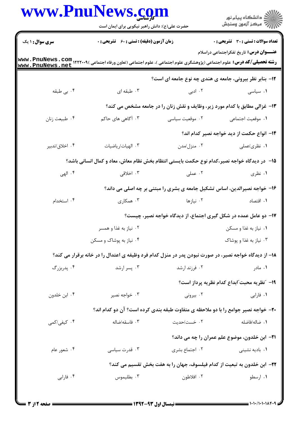|                        | www.PnuNews.com<br>حضرت علی(ع): دانش راهبر نیکویی برای ایمان است                                                                                                           |                                                                                           | ر<br>دانشڪاه پيام نور)<br>ا∛ مرڪز آزمون وسنڊش         |  |
|------------------------|----------------------------------------------------------------------------------------------------------------------------------------------------------------------------|-------------------------------------------------------------------------------------------|-------------------------------------------------------|--|
| <b>سری سوال :</b> ۱ یک | <b>زمان آزمون (دقیقه) : تستی : 60 ٪ تشریحی : 0</b>                                                                                                                         |                                                                                           | <b>تعداد سوالات : تستي : 30 ٪ تشريحي : 0</b>          |  |
|                        |                                                                                                                                                                            |                                                                                           | <b>عنـــوان درس:</b> تاریخ تفکراجتماعی دراسلام        |  |
| www.PnuNews.net        | <b>رشته تحصیلی/کد درس:</b> علوم اجتماعی (پژوهشگری علوم اجتماعی )، علوم اجتماعی (تعاون ورفاه اجتماعی )۱۲۲۲۰۰۹ میلادی <b>www . PnuNews . com</b><br>------ EmirMorra onat li |                                                                                           |                                                       |  |
|                        |                                                                                                                                                                            | ۱۲- بنابر نظر بیرونی، جامعه ی هندی چه نوع جامعه ای است؟                                   |                                                       |  |
| ۰۴ بی طبقه             | ۰۳ طبقه ای                                                                                                                                                                 | ۲ ادبی                                                                                    | ۰۱ سیاسی                                              |  |
|                        |                                                                                                                                                                            | ۱۳- غزالی مطابق با کدام مورد زیر، وظایف و نقش زنان را در جامعه مشخص می کند؟               |                                                       |  |
| ۰۴ طبیعت زنان          | ۴. آگاهی های حاکم                                                                                                                                                          | ۰۲ موقعیت سیاسی                                                                           | ٠١. موقعيت اجتماعي                                    |  |
|                        |                                                                                                                                                                            |                                                                                           | <b>۱۴</b> – انواع حکمت از دید خواجه نصیر کدام اند؟    |  |
| ۰۴ اخلاق/تدبير         | ٠٣ الهيات/رياضيات                                                                                                                                                          | ۰۲ منزل/مدن                                                                               | ۰۱ نظری/عملی                                          |  |
|                        | ۱۵−۔ در دیدگاه خواجه نصیر،کدام نوع حکمت بایستی انتظام بخش نظام معاش، معاد و کمال انسانی باشد؟                                                                              |                                                                                           |                                                       |  |
| ۰۴ الهي                | ۰۳ اخلاقی                                                                                                                                                                  | ۰۲ عملی                                                                                   | ۰۱ نظری                                               |  |
|                        |                                                                                                                                                                            | ۱۶- خواجه نصیرالدین، اساس تشکیل جامعه ی بشری را مبتنی بر چه اصلی می داند؟                 |                                                       |  |
| ۰۴ استخدام             | ۰۳ همکاری                                                                                                                                                                  | ۰۲ نیازها                                                                                 | ٠١. اقتصاد                                            |  |
|                        | ۱۷- دو عامل عمده در شکل گیری اجتماع، از دیدگاه خواجه نصیر، چیست؟                                                                                                           |                                                                                           |                                                       |  |
|                        | ۰۲ نیاز به غذا و همسر                                                                                                                                                      | ۰۱ نیاز به غذا و مسکن است. است که با سال به عنوا و مسکن                                   |                                                       |  |
|                        | ۰۴ نیاز به پوشاک و مسکن                                                                                                                                                    |                                                                                           | ۰۳ نیاز به غذا و پوشاک                                |  |
|                        | ۱۸– از دیدگاه خواجه نصیر، در صورت نبودن پدر در منزل کدام فرد وظیفه ی اعتدال را در خانه برقرار می کند؟                                                                      |                                                                                           |                                                       |  |
| ۰۴ پدربزرگ             | ۰۳ پسر ارشد                                                                                                                                                                | ۰۲ فرزند ارشد                                                                             | ۰۱ مادر                                               |  |
|                        |                                                                                                                                                                            |                                                                                           | 1۹– ″نظریه محبت″ابداع کدام نظریه پرداز است؟           |  |
| ۰۴ ابن خلدون           | ۰۳ خواجه نصير                                                                                                                                                              | ۰۲ بیرونی                                                                                 | ۰۱ فارابی                                             |  |
|                        |                                                                                                                                                                            | <b>۳۰</b> - خواجه نصیر جوامع را با دو ملاحظه ی متفاوت طبقه بندی کرده است؟ آن دو کدام اند؟ |                                                       |  |
| ۰۴ کیفی/کمی            | ۰۳ فاسقه <i>اض</i> اله                                                                                                                                                     | ۰۲ خست/حدیت                                                                               | ٠١ ضاله/فاضله                                         |  |
|                        |                                                                                                                                                                            |                                                                                           | <b>۲۱</b> - ابن خلدون، موضوع علم عمران را چه می داند؟ |  |
| ۰۴ شعور عام            | ۰۳ قدرت سیاسی                                                                                                                                                              | ۰۲ اجتماع بشری                                                                            | ۰۱ بادیه نشینی                                        |  |
|                        |                                                                                                                                                                            | <b>۲۲</b> - ابن خلدون به تبعیت از کدام فیلسوف، جهان را به هفت بخش تقسیم می کند؟           |                                                       |  |
| ۰۴ فارابی              | ۰۳ بطليموس                                                                                                                                                                 | ۰۲ افلاطون                                                                                | ۰۱ ارسطو                                              |  |